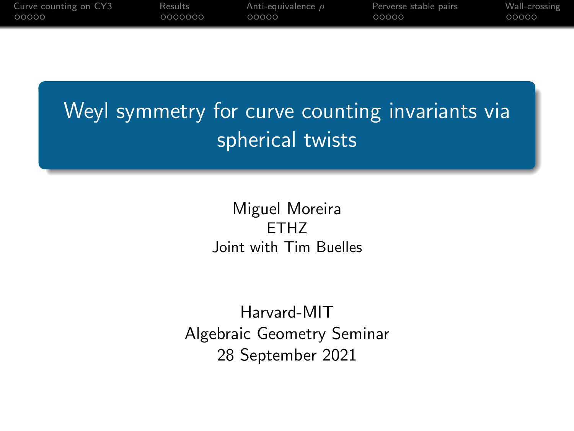<span id="page-0-0"></span>

| Curve counting on CY3 | Results | Anti-equivalence $\rho$ | Perverse stable pairs | Wall-crossing |
|-----------------------|---------|-------------------------|-----------------------|---------------|
| 00000                 | 0000000 | 00000                   | 00000                 | 00000         |
|                       |         |                         |                       |               |

Weyl symmetry for curve counting invariants via spherical twists

> Miguel Moreira ETHZ Joint with Tim Buelles

Harvard-MIT Algebraic Geometry Seminar 28 September 2021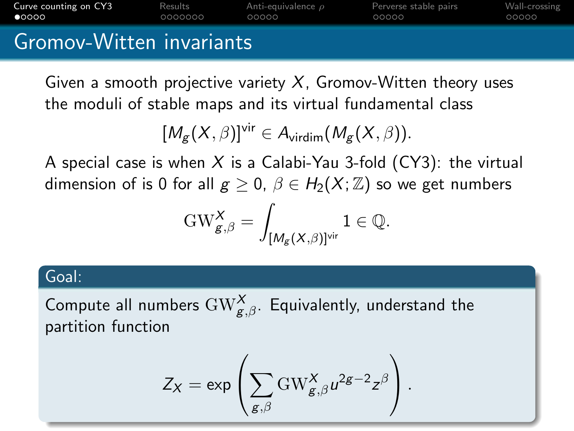<span id="page-1-0"></span>

| $\bullet$ 0000        | 0000000 | 00000                   | 00000                 | 00000         |
|-----------------------|---------|-------------------------|-----------------------|---------------|
| Curve counting on CY3 | Results | Anti-equivalence $\rho$ | Perverse stable pairs | Wall-crossing |

## Gromov-Witten invariants

Given a smooth projective variety  $X$ , Gromov-Witten theory uses the moduli of stable maps and its virtual fundamental class

$$
[M_g(X,\beta)]^{\text{vir}}\in A_{\text{virdim}}(M_g(X,\beta)).
$$

A special case is when X is a Calabi-Yau 3-fold  $(CY3)$ : the virtual dimension of is 0 for all  $g \ge 0$ ,  $\beta \in H_2(X;\mathbb{Z})$  so we get numbers

$$
\mathrm{GW}_{g,\beta}^X = \int_{[M_g(X,\beta)]^{\mathrm{vir}}} 1 \in \mathbb{Q}.
$$

### Goal:

Compute all numbers  $\mathrm{GW}_{g,\beta}^{\mathsf{X}}.$  Equivalently, understand the partition function

$$
Z_X = \exp\left(\sum_{g,\beta} GW_{g,\beta}^X u^{2g-2} z^{\beta}\right).
$$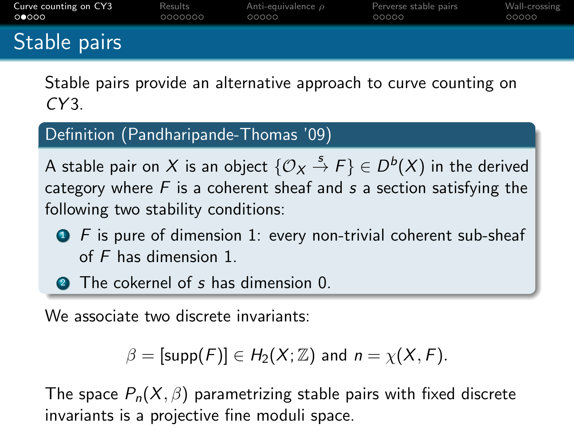| Curve counting on CY3 | Results | Anti-equivalence $\rho$ | Perverse stable pairs | Wall-crossing |
|-----------------------|---------|-------------------------|-----------------------|---------------|
| െറെറ                  | 0000000 | 00000                   | 00000                 | 00000         |
| Stable pairs          |         |                         |                       |               |

Stable pairs provide an alternative approach to curve counting on  $CY3$ 

#### Definition (Pandharipande-Thomas '09)

A stable pair on  $X$  is an object  $\{\mathcal{O}_X\stackrel{s}{\to}F\}\in D^b(X)$  in the derived category where  $F$  is a coherent sheaf and  $s$  a section satisfying the following two stability conditions:

- $\bullet$  F is pure of dimension 1: every non-trivial coherent sub-sheaf of F has dimension 1.
- **2** The cokernel of s has dimension 0.

We associate two discrete invariants:

$$
\beta = [\text{supp}(F)] \in H_2(X; \mathbb{Z}) \text{ and } n = \chi(X, F).
$$

The space  $P_n(X, \beta)$  parametrizing stable pairs with fixed discrete invariants is a projective fine moduli space.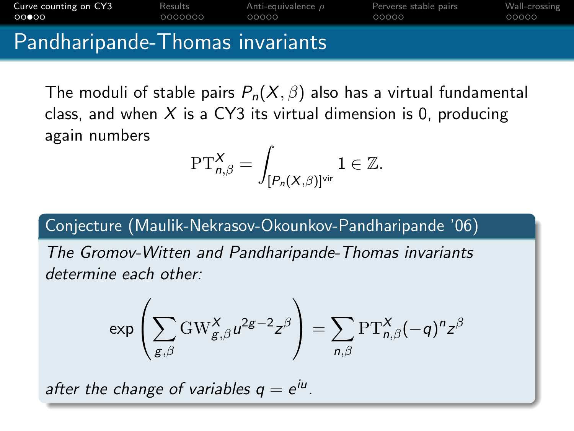**[Curve counting on CY3](#page-1-0)** [Results](#page-18-0) [Anti-equivalence](#page-0-0)  $\rho$  [Perverse stable pairs](#page-0-0) [Wall-crossing](#page-0-0)<br> **OOOOO** 0000000 000000 00000 00000 00000 00000 0000000 00000  $00000$ 

# Pandharipande-Thomas invariants

The moduli of stable pairs  $P_n(X, \beta)$  also has a virtual fundamental class, and when X is a CY3 its virtual dimension is 0, producing again numbers

$$
\mathrm{PT}^X_{n,\beta}=\int_{[P_n(X,\beta)]^{\mathrm{vir}}}\mathbb{1}\in\mathbb{Z}.
$$

## Conjecture (Maulik-Nekrasov-Okounkov-Pandharipande '06)

The Gromov-Witten and Pandharipande-Thomas invariants determine each other:

$$
\exp\left(\sum_{g,\beta} \text{GW}_{g,\beta}^X u^{2g-2} z^\beta\right) = \sum_{n,\beta} \text{PT}_{n,\beta}^X (-q)^n z^\beta
$$

after the change of variables  $q = e^{iu}$ .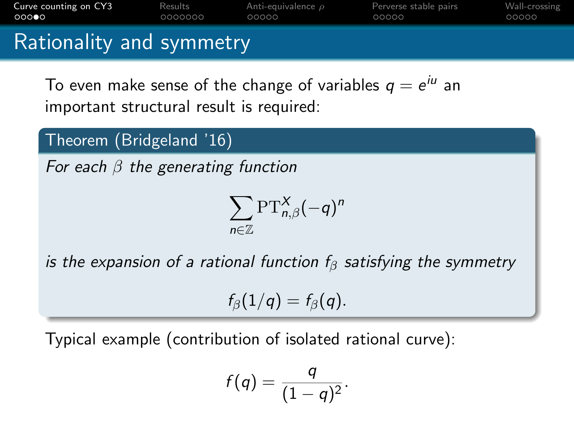| a Death and the control of the control of the |         |                         |                       |               |  |  |
|-----------------------------------------------|---------|-------------------------|-----------------------|---------------|--|--|
| 00000                                         | 0000000 | 00000                   | 00000                 | 00000         |  |  |
| Curve counting on CY3                         | Results | Anti-equivalence $\rho$ | Perverse stable pairs | Wall-crossing |  |  |

## Rationality and symmetry

To even make sense of the change of variables  $q = e^{i u}$  an important structural result is required:

## Theorem (Bridgeland '16)

For each  $\beta$  the generating function

$$
\sum_{n\in\mathbb{Z}}\text{PT}^{X}_{n,\beta}(-q)^n
$$

is the expansion of a rational function  $f_\beta$  satisfying the symmetry

$$
f_{\beta}(1/q)=f_{\beta}(q).
$$

Typical example (contribution of isolated rational curve):

$$
f(q)=\frac{q}{(1-q)^2}.
$$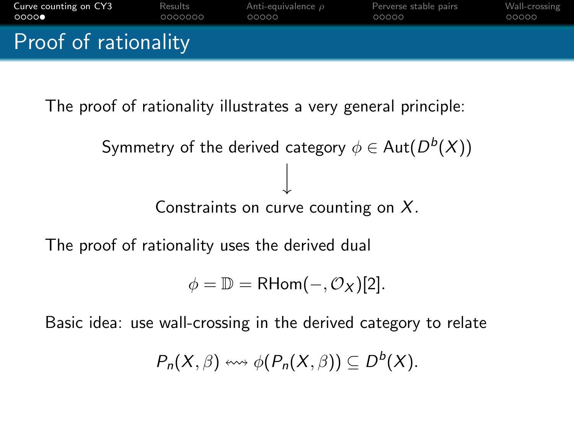

The proof of rationality illustrates a very general principle:

Symmetry of the derived category  $\phi \in \operatorname{\mathsf{Aut}}\nolimits(D^b(X))$ Constraints on curve counting on X.

The proof of rationality uses the derived dual

 $\phi = \mathbb{D} = \mathsf{RHom}(-, \mathcal{O}_X)[2].$ 

Basic idea: use wall-crossing in the derived category to relate

$$
P_n(X,\beta) \leftrightsquigarrow \phi(P_n(X,\beta)) \subseteq D^b(X).
$$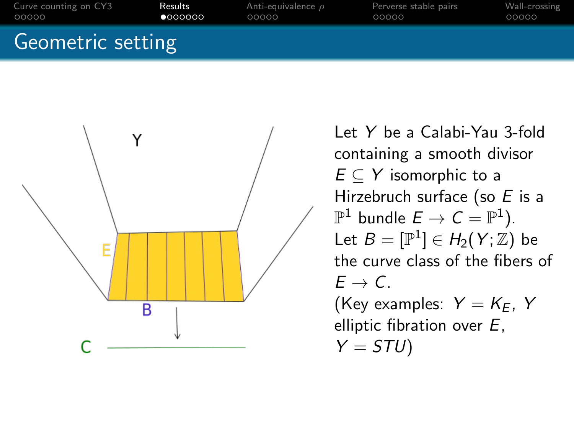



Let Y be a Calabi-Yau 3-fold containing a smooth divisor  $E \subset Y$  isomorphic to a Hirzebruch surface (so  $E$  is a  $\mathbb{P}^1$  bundle  $E \to \mathcal{C} = \mathbb{P}^1$ ). Let  $B=[{\mathbb P}^1]\in H_2(Y;{\mathbb Z})$  be the curve class of the fibers of  $F \rightarrow C$ (Key examples:  $Y = K_F$ , Y elliptic fibration over E,  $Y = STU$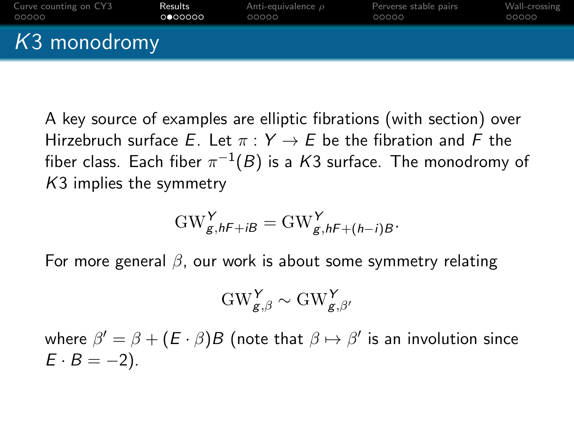| Curve counting on CY3 | Results  | Anti-equivalence $\rho$ | Perverse stable pairs | Wall-crossing |
|-----------------------|----------|-------------------------|-----------------------|---------------|
| 00000                 | 0 000000 | 00000                   | 00000                 | 00000         |
| K3 monodromy          |          |                         |                       |               |

A key source of examples are elliptic fibrations (with section) over Hirzebruch surface E. Let  $\pi : Y \to E$  be the fibration and F the fiber class. Each fiber  $\pi^{-1}(B)$  is a  $K3$  surface. The monodromy of K3 implies the symmetry

$$
GW^Y_{g,hF+iB} = GW^Y_{g,hF+(h-i)B}.
$$

For more general  $\beta$ , our work is about some symmetry relating

$$
\mathrm{GW}_{g,\beta}^Y \sim \mathrm{GW}_{g,\beta'}^Y
$$

where  $\beta' = \beta + (E \cdot \beta)B$  (note that  $\beta \mapsto \beta'$  is an involution since  $E \cdot B = -2$ ).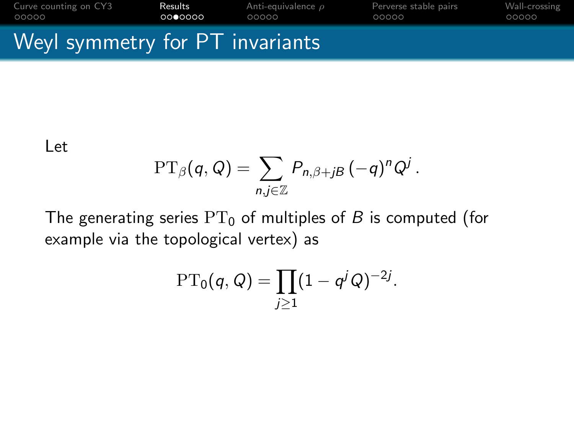[Curve counting on CY3](#page-1-0) **[Results](#page-18-0)** [Anti-equivalence](#page-0-0)  $\rho$  [Perverse stable pairs](#page-0-0) [Wall-crossing](#page-0-0)<br>
00000 **00000 00000** 00000 00000 00000 00000 00000

## Weyl symmetry for PT invariants

#### Let

$$
\mathrm{PT}_{\beta}(q,Q)=\sum_{n,j\in\mathbb{Z}}P_{n,\beta+jB}(-q)^nQ^j.
$$

The generating series  $PT_0$  of multiples of B is computed (for example via the topological vertex) as

$$
\mathrm{PT}_0(q,Q) = \prod_{j\geq 1} (1-q^j Q)^{-2j}.
$$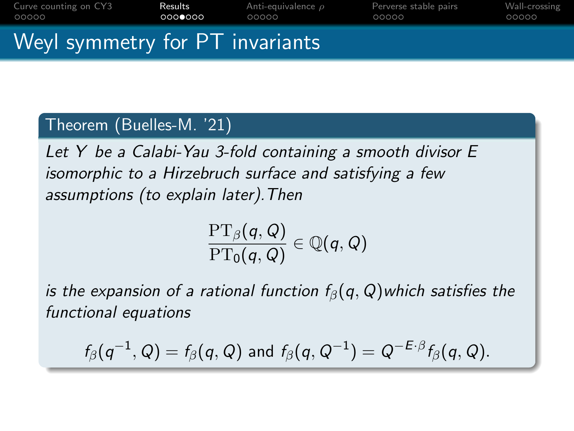| Curve counting on CY3           | Results | Anti-equivalence $\rho$ | Perverse stable pairs | Wall-crossing |
|---------------------------------|---------|-------------------------|-----------------------|---------------|
| 00000                           | 0000000 | 00000                   | 00000                 | 00000         |
| Weyl symmetry for PT invariants |         |                         |                       |               |

#### Theorem (Buelles-M. '21)

Let Y be a Calabi-Yau 3-fold containing a smooth divisor E isomorphic to a Hirzebruch surface and satisfying a few assumptions (to explain later).Then

$$
\frac{\operatorname{PT}_\beta(q,Q)}{\operatorname{PT}_0(q,Q)}\in\mathbb{Q}(q,Q)
$$

is the expansion of a rational function  $f_\beta(q, Q)$ which satisfies the functional equations

$$
f_{\beta}(q^{-1},Q)=f_{\beta}(q,Q) \text{ and } f_{\beta}(q,Q^{-1})=Q^{-E\cdot\beta}f_{\beta}(q,Q).
$$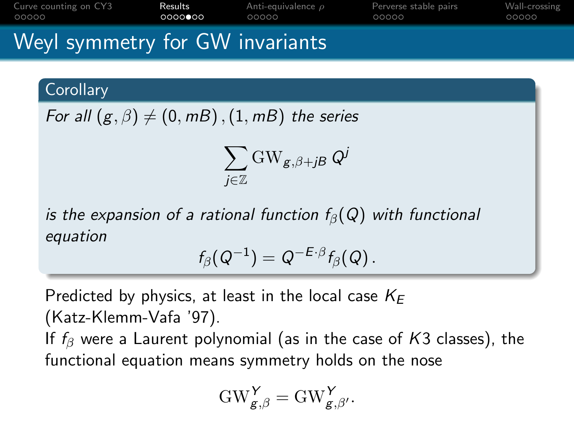[Curve counting on CY3](#page-1-0) **[Results](#page-18-0)** [Anti-equivalence](#page-0-0)  $\rho$  [Perverse stable pairs](#page-0-0) [Wall-crossing](#page-0-0)<br>
00000 **0000000** 000000 00000 00000 00000 00000 00000 റററൈ∙ററ 00000  $00000$ 

# Weyl symmetry for GW invariants

**Corollary** 

For all  $(g, \beta) \neq (0, mB)$ ,  $(1, mB)$  the series

$$
\sum_{j\in\mathbb{Z}}\mathrm{GW}_{\mathsf{g},\beta+\mathsf{j}\mathsf{B}}\,\mathsf{Q}^{\mathsf{j}}
$$

is the expansion of a rational function  $f_\beta(Q)$  with functional equation

$$
f_{\beta}(Q^{-1})=Q^{-E\cdot\beta}f_{\beta}(Q).
$$

Predicted by physics, at least in the local case  $K_F$ (Katz-Klemm-Vafa '97). If  $f_\beta$  were a Laurent polynomial (as in the case of K3 classes), the functional equation means symmetry holds on the nose

$$
\mathrm{GW}_{g,\beta}^Y = \mathrm{GW}_{g,\beta'}^Y.
$$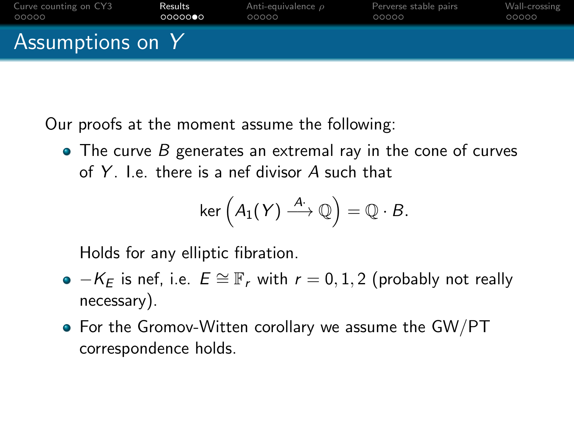

Our proofs at the moment assume the following:

 $\bullet$  The curve B generates an extremal ray in the cone of curves of Y  $\exists$  e there is a nef divisor A such that

$$
\ker\left(A_1(Y) \stackrel{A\cdot}{\longrightarrow} \mathbb{Q}\right) = \mathbb{Q} \cdot B.
$$

Holds for any elliptic fibration.

- $\bullet$   $-K_F$  is nef, i.e.  $E \cong \mathbb{F}_r$  with  $r = 0, 1, 2$  (probably not really necessary).
- For the Gromov-Witten corollary we assume the GW/PT correspondence holds.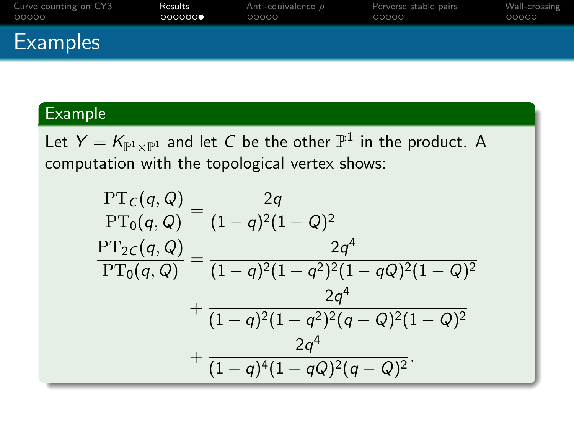| Curve counting on CY3 | Results | Anti-equivalence $\rho$ | Perverse stable pairs | Wall-crossing |
|-----------------------|---------|-------------------------|-----------------------|---------------|
| 00000                 | 000000  | 00000                   | 00000                 | 00000         |
| <b>Examples</b>       |         |                         |                       |               |

## Example

Let  $Y = K_{\mathbb{P}^1 \times \mathbb{P}^1}$  and let  $C$  be the other  $\mathbb{P}^1$  in the product. A computation with the topological vertex shows:

$$
\frac{\text{PT}_C(q,Q)}{\text{PT}_0(q,Q)} = \frac{2q}{(1-q)^2(1-Q)^2}
$$
\n
$$
\frac{\text{PT}_{2C}(q,Q)}{\text{PT}_0(q,Q)} = \frac{2q^4}{(1-q)^2(1-q^2)^2(1-qQ)^2(1-Q)^2}
$$
\n
$$
+ \frac{2q^4}{(1-q)^2(1-q^2)^2(q-Q)^2(1-Q)^2}
$$
\n
$$
+ \frac{2q^4}{(1-q)^4(1-qQ)^2(q-Q)^2}.
$$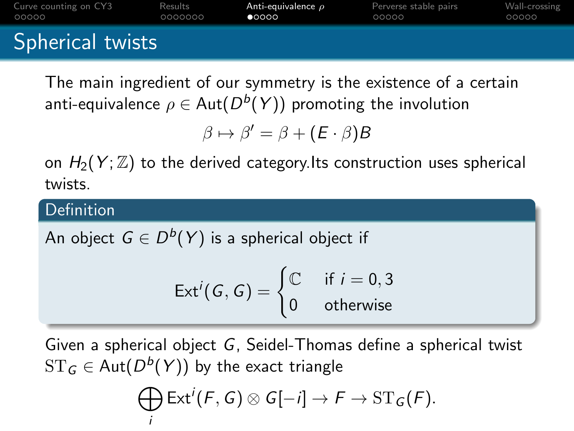| Curve counting on CY3 | Results | Anti-equivalence $\rho$ | Perverse stable pairs | Wall-crossing |
|-----------------------|---------|-------------------------|-----------------------|---------------|
| 00000                 | 0000000 | 00000                   | 00000                 | 00000         |
| Spherical twists      |         |                         |                       |               |

The main ingredient of our symmetry is the existence of a certain anti-equivalence  $\rho \in \operatorname{Aut}(D^b(Y))$  promoting the involution

 $\beta \mapsto \beta' = \beta + (E \cdot \beta)B$ 

on  $H_2(Y;\mathbb{Z})$  to the derived category. Its construction uses spherical twists.

#### Definition

An object  $\, \in D^b(\, Y)$  is a spherical object if

$$
\mathsf{Ext}^i(G,G) = \begin{cases} \mathbb{C} & \text{if } i = 0,3 \\ 0 & \text{otherwise} \end{cases}
$$

Given a spherical object G, Seidel-Thomas define a spherical twist  $\operatorname{ST}_\mathsf{G} \in \operatorname{\mathsf{Aut}}(D^b(Y))$  by the exact triangle

$$
\bigoplus_i \text{Ext}^i(F, G) \otimes G[-i] \to F \to \text{ST}_G(F).
$$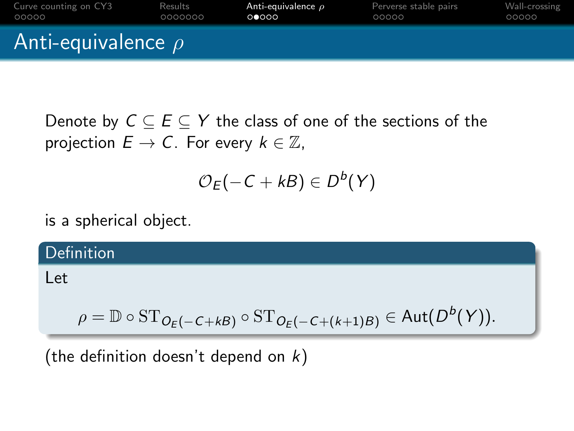| Curve counting on CY3   | Results | Anti-equivalence $\rho$ | Perverse stable pairs | Wall-crossing |  |
|-------------------------|---------|-------------------------|-----------------------|---------------|--|
| OOOOO                   | 0000000 | ററേററ                   | 00000                 | 00000         |  |
| Anti-equivalence $\rho$ |         |                         |                       |               |  |

Denote by  $C \subseteq E \subseteq Y$  the class of one of the sections of the projection  $E \to C$ . For every  $k \in \mathbb{Z}$ ,

$$
\mathcal{O}_{E}(-C+kB)\in D^{b}(Y)
$$

is a spherical object.

Definition

Let

$$
\rho = \mathbb{D} \circ \mathrm{ST}_{O_{\mathcal{E}}(-C+kB)} \circ \mathrm{ST}_{O_{\mathcal{E}}(-C+(k+1)B)} \in \mathrm{Aut}(D^b(Y)).
$$

(the definition doesn't depend on  $k$ )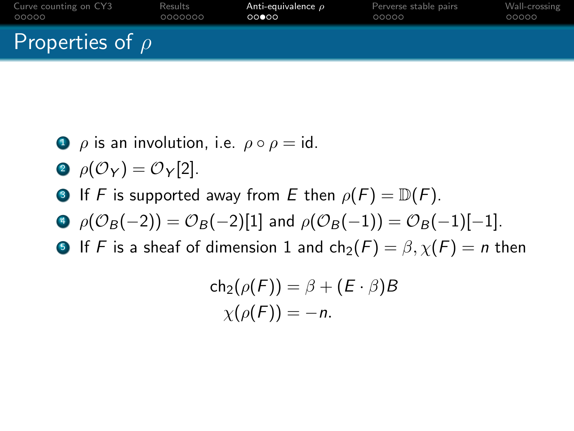| Curve counting on CY3 | Results | Anti-equivalence $\rho$ | Perverse stable pairs | Wall-crossing |
|-----------------------|---------|-------------------------|-----------------------|---------------|
| 00000                 | 0000000 | 00000                   | 00000                 | 00000         |
| Properties of $\rho$  |         |                         |                       |               |

- $\bullet$   $\rho$  is an involution, i.e.  $\rho \circ \rho = id$ .
- 2  $\rho(\mathcal{O}_Y) = \mathcal{O}_Y[2]$ .
- **3** If F is supported away from E then  $\rho(F) = \mathbb{D}(F)$ .
- $\Theta$   $\rho(\mathcal{O}_B(-2)) = \mathcal{O}_B(-2)[1]$  and  $\rho(\mathcal{O}_B(-1)) = \mathcal{O}_B(-1)[-1]$ .
- **5** If F is a sheaf of dimension 1 and  $\text{ch}_2(F) = \beta$ ,  $\chi(F) = n$  then

$$
ch_2(\rho(F)) = \beta + (E \cdot \beta)B
$$
  
 
$$
\chi(\rho(F)) = -n.
$$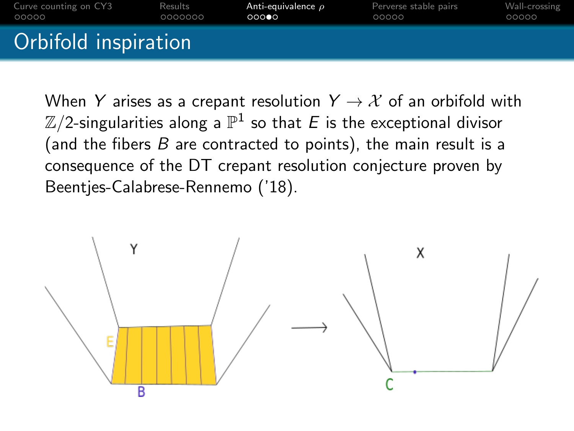

When Y arises as a crepant resolution  $Y \rightarrow X$  of an orbifold with  $\mathbb{Z}/2$ -singularities along a  $\mathbb{P}^1$  so that  $E$  is the exceptional divisor (and the fibers  $B$  are contracted to points), the main result is a consequence of the DT crepant resolution conjecture proven by Beentjes-Calabrese-Rennemo ('18).

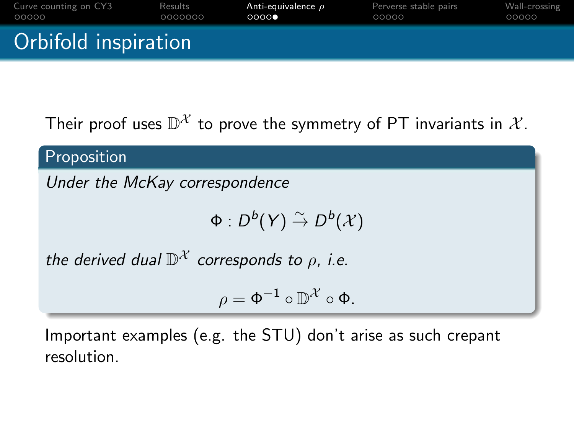| Curve counting on CY3 | Results | Anti-equivalence $\rho$ | Perverse stable pairs | Wall-crossing |
|-----------------------|---------|-------------------------|-----------------------|---------------|
| 00000                 | 0000000 | 0000                    | 00000                 | 00000         |
| Orbifold inspiration  |         |                         |                       |               |

Their proof uses  $\mathbb{D}^{\mathcal{X}}$  to prove the symmetry of PT invariants in  $\mathcal{X}.$ 

Proposition

Under the McKay correspondence

 $\Phi: D^b(Y) \stackrel{\sim}{\rightarrow} D^b(\mathcal{X})$ 

the derived dual  $\mathbb{D}^{\mathcal{X}}$  corresponds to  $\rho$ , i.e.

$$
\rho = \Phi^{-1} \circ \mathbb{D}^{\mathcal{X}} \circ \Phi.
$$

Important examples (e.g. the STU) don't arise as such crepant resolution.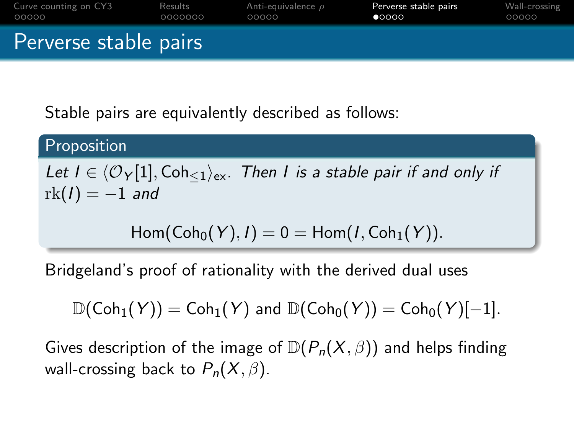<span id="page-18-0"></span>

| Curve counting on CY3 | Results | Anti-equivalence $\rho$ | Perverse stable pairs | Wall-crossing |
|-----------------------|---------|-------------------------|-----------------------|---------------|
| 00000                 | 0000000 | 00000                   | 00000                 | 00000         |
| Perverse stable pairs |         |                         |                       |               |

Stable pairs are equivalently described as follows:

Proposition

Let  $I \in \langle \mathcal{O}_Y[1], \mathsf{Coh}_{\leq 1} \rangle_{\mathsf{ex}}$ . Then I is a stable pair if and only if  $rk(I) = -1$  and

$$
\operatorname{\mathsf{Hom}}\nolimits(\operatorname{\mathsf{Coh}}\nolimits_0(Y), I) = 0 = \operatorname{\mathsf{Hom}}\nolimits(I, \operatorname{\mathsf{Coh}}\nolimits_1(Y)).
$$

Bridgeland's proof of rationality with the derived dual uses

 $\mathbb{D}(\text{Coh}_1(Y)) = \text{Coh}_1(Y)$  and  $\mathbb{D}(\text{Coh}_0(Y)) = \text{Coh}_0(Y)[-1].$ 

Gives description of the image of  $\mathbb{D}(P_n(X,\beta))$  and helps finding wall-crossing back to  $P_n(X, \beta)$ .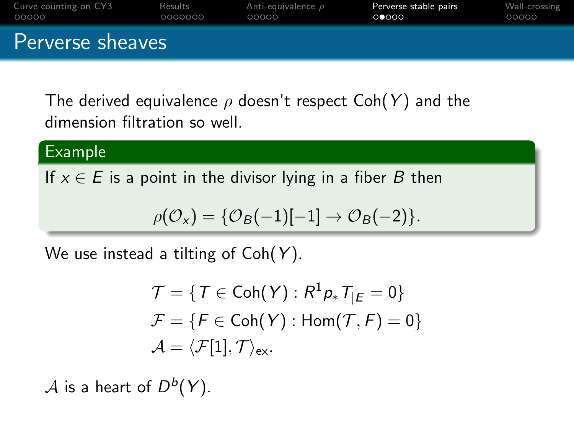| Curve counting on CY3 | Results | Anti-equivalence $\rho$ | Perverse stable pairs | Wall-crossing |
|-----------------------|---------|-------------------------|-----------------------|---------------|
| OOOOO                 | 0000000 | 00000                   | 00000                 | 00000         |
| Perverse sheaves      |         |                         |                       |               |

The derived equivalence  $\rho$  doesn't respect Coh(Y) and the dimension filtration so well.

#### Example

If  $x \in E$  is a point in the divisor lying in a fiber B then

$$
\rho(\mathcal{O}_{X}) = \{ \mathcal{O}_{B}(-1)[-1] \rightarrow \mathcal{O}_{B}(-2) \}.
$$

We use instead a tilting of  $Coh(Y)$ .

$$
\mathcal{T} = \{ T \in \text{Coh}(Y) : R^1 p_* T_{|E} = 0 \}
$$

$$
\mathcal{F} = \{ F \in \text{Coh}(Y) : \text{Hom}(\mathcal{T}, F) = 0 \}
$$

$$
\mathcal{A} = \langle \mathcal{F}[1], \mathcal{T} \rangle_{\text{ex}}.
$$

 $\mathcal A$  is a heart of  $D^b(Y)$ .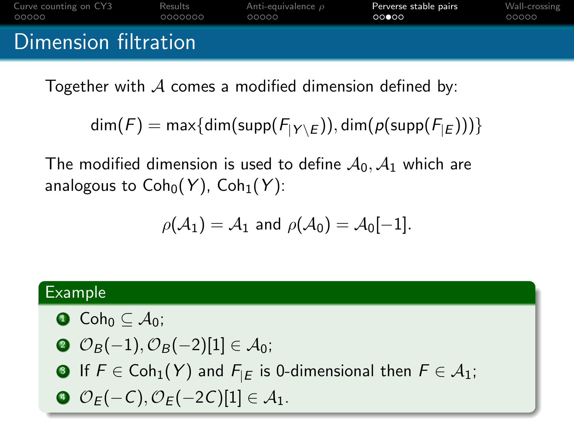| Curve counting on CY3 | Results | Anti-equivalence $\rho$ | Perverse stable pairs | Wall-crossing |
|-----------------------|---------|-------------------------|-----------------------|---------------|
| 00000                 | 0000000 | 00000                   | 00000                 | 00000         |
| Dimension filtration  |         |                         |                       |               |

Together with  $\mathcal A$  comes a modified dimension defined by:

$$
\dim(F)=\max\{\dim(\text{supp}(F_{|Y\setminus E})),\dim(\rho(\text{supp}(F_{|E})))\}
$$

The modified dimension is used to define  $A_0, A_1$  which are analogous to  $\text{Coh}_0(Y)$ ,  $\text{Coh}_1(Y)$ :

$$
\rho(\mathcal{A}_1)=\mathcal{A}_1 \text{ and } \rho(\mathcal{A}_0)=\mathcal{A}_0[-1].
$$

#### Example

- $\bullet$  Coh<sub>0</sub>  $\subset \mathcal{A}_0$ ;
- $\mathcal{O}_B(-1), \mathcal{O}_B(-2)[1] \in \mathcal{A}_0;$
- **3** If  $F \in \text{Coh}_1(Y)$  and  $F_{|E}$  is 0-dimensional then  $F \in \mathcal{A}_1$ ;
- $\mathcal{O}_F(-C), \mathcal{O}_F(-2C)[1] \in \mathcal{A}_1.$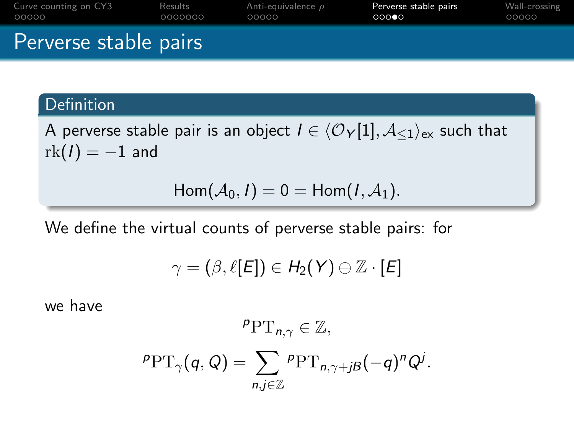| Curve counting on CY3 | Results | Anti-equivalence $\rho$ | Perverse stable pairs | Wall-crossing |
|-----------------------|---------|-------------------------|-----------------------|---------------|
| 00000                 | 0000000 | 00000                   | 000                   | 00000         |
| Perverse stable pairs |         |                         |                       |               |

### Definition

A perverse stable pair is an object  $I \in \langle \mathcal{O}_Y[1], \mathcal{A}_{\leq 1} \rangle_{\text{ex}}$  such that  $rk(I) = -1$  and

$$
Hom(\mathcal{A}_0,I)=0=Hom(I,\mathcal{A}_1).
$$

We define the virtual counts of perverse stable pairs: for

$$
\gamma=(\beta,\ell[E])\in H_2(Y)\oplus\mathbb{Z}\cdot [E]
$$

we have

$$
{}^{p}PT_{n,\gamma} \in \mathbb{Z},
$$
  

$$
{}^{p}PT_{\gamma}(q,Q) = \sum_{n,j \in \mathbb{Z}} {}^{p}PT_{n,\gamma+jB}(-q)^{n}Q^{j}.
$$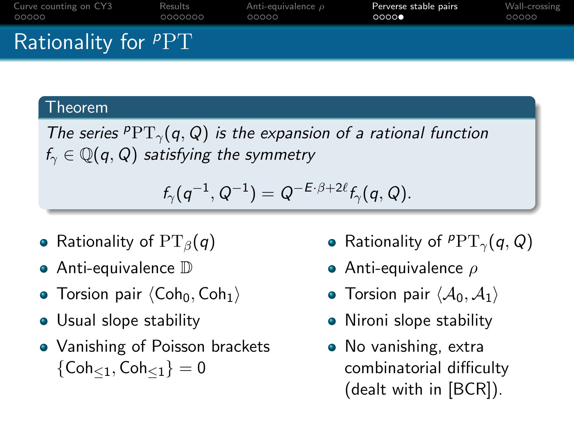| Curve counting on CY3 | Results | Anti-equivalence $\rho$ | Perverse stable pairs | Wall-crossing |
|-----------------------|---------|-------------------------|-----------------------|---------------|
| 00000                 | 0000000 | 00000                   | 0000                  | 00000         |
| Rationality for $PPT$ |         |                         |                       |               |

#### Theorem

The series  $PPT_{\gamma}(q, Q)$  is the expansion of a rational function  $f_{\gamma} \in \mathbb{Q}(q, Q)$  satisfying the symmetry

$$
f_{\gamma}(q^{-1},Q^{-1})=Q^{-E\cdot\beta+2\ell}f_{\gamma}(q,Q).
$$

- Rationality of  $PT_\beta(q)$
- **•** Anti-equivalence D
- Torsion pair  $\langle \text{Coh}_0, \text{Coh}_1 \rangle$
- Usual slope stability
- Vanishing of Poisson brackets  ${Coh}_{\leq 1}, Coh_{\leq 1} = 0$
- Rationality of  $PPT_{\gamma}(q, Q)$
- **•** Anti-equivalence  $\rho$
- Torsion pair  $\langle A_0, A_1 \rangle$
- Nironi slope stability
- No vanishing, extra combinatorial difficulty (dealt with in [BCR]).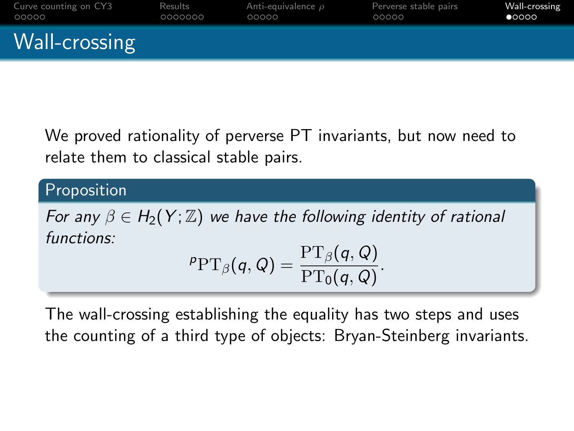| Curve counting on CY3 | Results | Anti-equivalence $\rho$ | Perverse stable pairs | Wall-crossing |
|-----------------------|---------|-------------------------|-----------------------|---------------|
| 00000                 | 0000000 | 00000                   | 00000                 | 00000         |
| Wall-crossing         |         |                         |                       |               |

We proved rationality of perverse PT invariants, but now need to relate them to classical stable pairs.

### Proposition

For any  $\beta \in H_2(Y; \mathbb{Z})$  we have the following identity of rational functions:

$$
{}^{\rho}{\rm PT}_{\beta}(q,Q) = \frac{{\rm PT}_{\beta}(q,Q)}{{\rm PT}_0(q,Q)}.
$$

The wall-crossing establishing the equality has two steps and uses the counting of a third type of objects: Bryan-Steinberg invariants.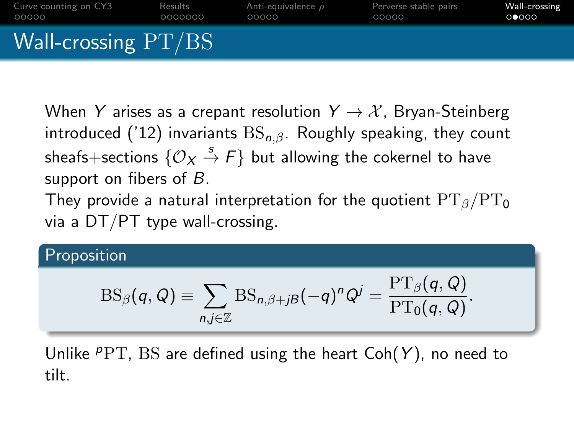

When Y arises as a crepant resolution  $Y \rightarrow \mathcal{X}$ , Bryan-Steinberg introduced ('12) invariants  $BS_{n,\beta}$ . Roughly speaking, they count sheafs $+$ sections  $\{\mathcal{O}_{\boldsymbol{X}}\stackrel{s}{\to} F\}$  but allowing the cokernel to have support on fibers of  $B$ .

They provide a natural interpretation for the quotient  $PT_{\beta}/PT_0$ via a DT/PT type wall-crossing.

## Proposition

$$
\mathrm{BS}_{\beta}(q,Q) \equiv \sum_{n,j\in\mathbb{Z}} \mathrm{BS}_{n,\beta+j\beta}(-q)^n Q^j = \frac{\mathrm{PT}_{\beta}(q,Q)}{\mathrm{PT}_0(q,Q)}.
$$

Unlike  $PPT$ , BS are defined using the heart  $Coh(Y)$ , no need to tilt.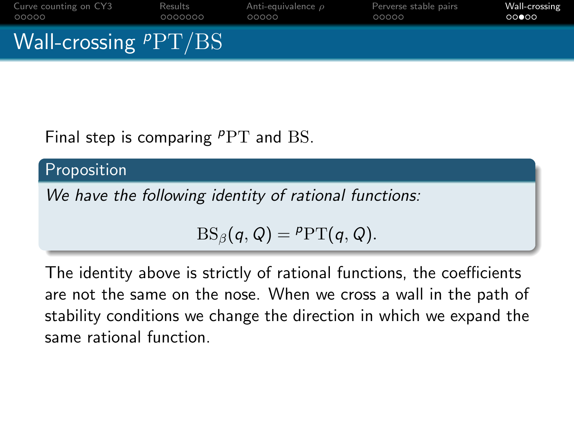| Curve counting on CY3  | Results | Anti-equivalence $\rho$ | Perverse stable pairs | Wall-crossing |
|------------------------|---------|-------------------------|-----------------------|---------------|
| 00000                  | 0000000 | 00000                   | 00000                 | 00000         |
| Wall-crossing $PPT/BS$ |         |                         |                       |               |

Final step is comparing  $PPT$  and BS.

Proposition

We have the following identity of rational functions:

$$
BS_{\beta}(q,Q) = \mathsf{PPT}(q,Q).
$$

The identity above is strictly of rational functions, the coefficients are not the same on the nose. When we cross a wall in the path of stability conditions we change the direction in which we expand the same rational function.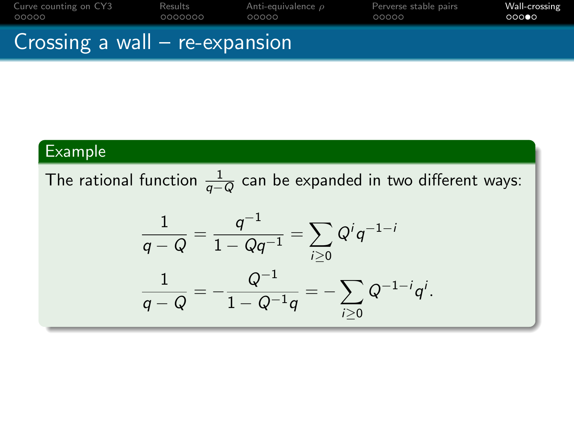| Curve counting on CY3 | Results | Anti-equivalence $\rho$ | Perverse stable pairs | Wall-crossing |
|-----------------------|---------|-------------------------|-----------------------|---------------|
| 00000                 | 0000000 | 00000                   | 00000                 | 000           |
|                       |         |                         |                       |               |

## Crossing a wall – re-expansion

## Example

The rational function  $\frac{1}{q-Q}$  can be expanded in two different ways:

$$
\frac{1}{q-Q} = \frac{q^{-1}}{1-Qq^{-1}} = \sum_{i\geq 0} Q^i q^{-1-i}
$$

$$
\frac{1}{q-Q} = -\frac{Q^{-1}}{1-Q^{-1}q} = -\sum_{i\geq 0} Q^{-1-i}q^i.
$$